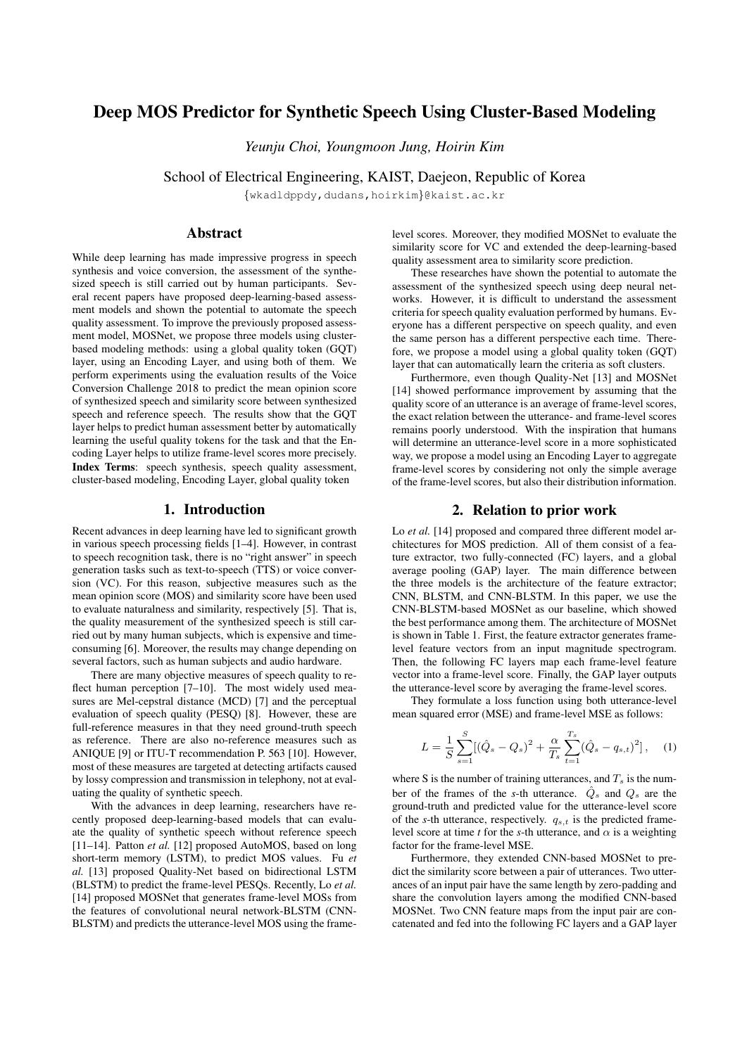# Deep MOS Predictor for Synthetic Speech Using Cluster-Based Modeling

*Yeunju Choi, Youngmoon Jung, Hoirin Kim*

School of Electrical Engineering, KAIST, Daejeon, Republic of Korea

{wkadldppdy,dudans,hoirkim}@kaist.ac.kr

# Abstract

While deep learning has made impressive progress in speech synthesis and voice conversion, the assessment of the synthesized speech is still carried out by human participants. Several recent papers have proposed deep-learning-based assessment models and shown the potential to automate the speech quality assessment. To improve the previously proposed assessment model, MOSNet, we propose three models using clusterbased modeling methods: using a global quality token (GQT) layer, using an Encoding Layer, and using both of them. We perform experiments using the evaluation results of the Voice Conversion Challenge 2018 to predict the mean opinion score of synthesized speech and similarity score between synthesized speech and reference speech. The results show that the GQT layer helps to predict human assessment better by automatically learning the useful quality tokens for the task and that the Encoding Layer helps to utilize frame-level scores more precisely. Index Terms: speech synthesis, speech quality assessment, cluster-based modeling, Encoding Layer, global quality token

### 1. Introduction

Recent advances in deep learning have led to significant growth in various speech processing fields [1–4]. However, in contrast to speech recognition task, there is no "right answer" in speech generation tasks such as text-to-speech (TTS) or voice conversion (VC). For this reason, subjective measures such as the mean opinion score (MOS) and similarity score have been used to evaluate naturalness and similarity, respectively [5]. That is, the quality measurement of the synthesized speech is still carried out by many human subjects, which is expensive and timeconsuming [6]. Moreover, the results may change depending on several factors, such as human subjects and audio hardware.

There are many objective measures of speech quality to reflect human perception [7-10]. The most widely used measures are Mel-cepstral distance (MCD) [7] and the perceptual evaluation of speech quality (PESQ) [8]. However, these are full-reference measures in that they need ground-truth speech as reference. There are also no-reference measures such as ANIQUE [9] or ITU-T recommendation P. 563 [10]. However, most of these measures are targeted at detecting artifacts caused by lossy compression and transmission in telephony, not at evaluating the quality of synthetic speech.

With the advances in deep learning, researchers have recently proposed deep-learning-based models that can evaluate the quality of synthetic speech without reference speech [11–14]. Patton *et al.* [12] proposed AutoMOS, based on long short-term memory (LSTM), to predict MOS values. Fu *et al.* [13] proposed Quality-Net based on bidirectional LSTM (BLSTM) to predict the frame-level PESQs. Recently, Lo *et al.* [14] proposed MOSNet that generates frame-level MOSs from the features of convolutional neural network-BLSTM (CNN-BLSTM) and predicts the utterance-level MOS using the framelevel scores. Moreover, they modified MOSNet to evaluate the similarity score for VC and extended the deep-learning-based quality assessment area to similarity score prediction.

These researches have shown the potential to automate the assessment of the synthesized speech using deep neural networks. However, it is difficult to understand the assessment criteria for speech quality evaluation performed by humans. Everyone has a different perspective on speech quality, and even the same person has a different perspective each time. Therefore, we propose a model using a global quality token (GQT) layer that can automatically learn the criteria as soft clusters.

Furthermore, even though Quality-Net [13] and MOSNet [14] showed performance improvement by assuming that the quality score of an utterance is an average of frame-level scores, the exact relation between the utterance- and frame-level scores remains poorly understood. With the inspiration that humans will determine an utterance-level score in a more sophisticated way, we propose a model using an Encoding Layer to aggregate frame-level scores by considering not only the simple average of the frame-level scores, but also their distribution information.

### 2. Relation to prior work

Lo *et al.* [14] proposed and compared three different model architectures for MOS prediction. All of them consist of a feature extractor, two fully-connected (FC) layers, and a global average pooling (GAP) layer. The main difference between the three models is the architecture of the feature extractor; CNN, BLSTM, and CNN-BLSTM. In this paper, we use the CNN-BLSTM-based MOSNet as our baseline, which showed the best performance among them. The architecture of MOSNet is shown in Table 1. First, the feature extractor generates framelevel feature vectors from an input magnitude spectrogram. Then, the following FC layers map each frame-level feature vector into a frame-level score. Finally, the GAP layer outputs the utterance-level score by averaging the frame-level scores.

They formulate a loss function using both utterance-level mean squared error (MSE) and frame-level MSE as follows:

$$
L = \frac{1}{S} \sum_{s=1}^{S} [(\hat{Q}_s - Q_s)^2 + \frac{\alpha}{T_s} \sum_{t=1}^{T_s} (\hat{Q}_s - q_{s,t})^2], \quad (1)
$$

where S is the number of training utterances, and  $T_s$  is the number of the frames of the *s*-th utterance.  $\hat{Q}_s$  and  $Q_s$  are the ground-truth and predicted value for the utterance-level score of the *s*-th utterance, respectively.  $q_{s,t}$  is the predicted framelevel score at time *t* for the *s*-th utterance, and  $\alpha$  is a weighting factor for the frame-level MSE.

Furthermore, they extended CNN-based MOSNet to predict the similarity score between a pair of utterances. Two utterances of an input pair have the same length by zero-padding and share the convolution layers among the modified CNN-based MOSNet. Two CNN feature maps from the input pair are concatenated and fed into the following FC layers and a GAP layer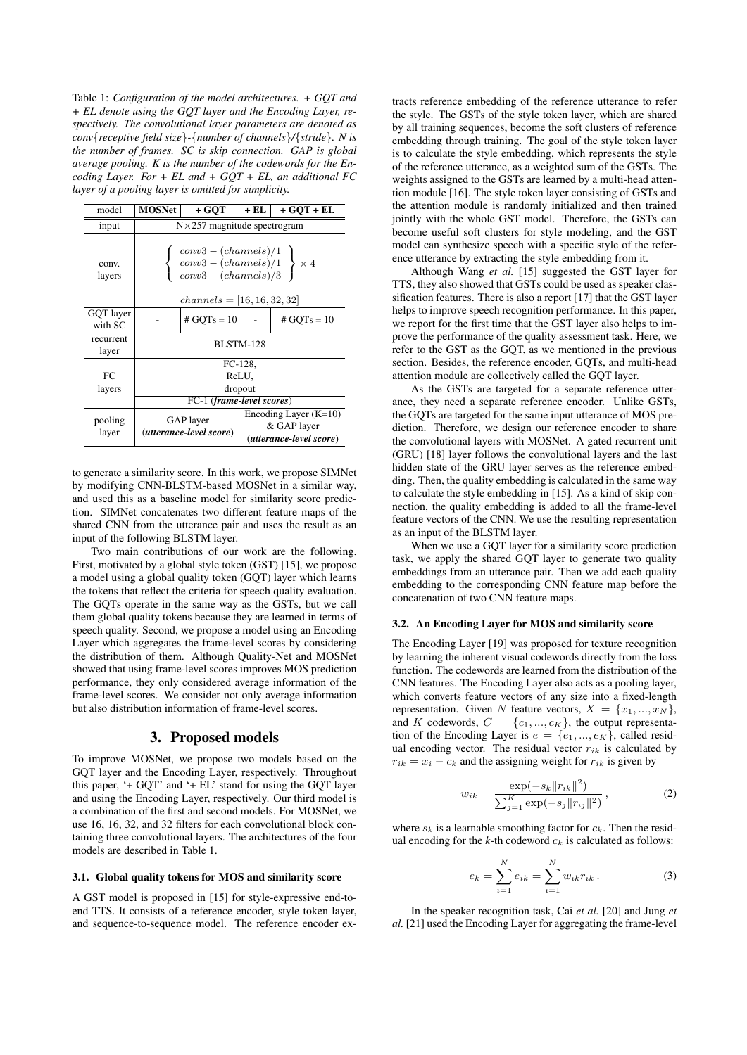Table 1: *Configuration of the model architectures. + GQT and + EL denote using the GQT layer and the Encoding Layer, respectively. The convolutional layer parameters are denoted as conv*{*receptive field size*}*-*{*number of channels*}*/*{*stride*}*. N is the number of frames. SC is skip connection. GAP is global average pooling. K is the number of the codewords for the Encoding Layer. For + EL and + GQT + EL, an additional FC layer of a pooling layer is omitted for simplicity.*

| model                | <b>MOSNet</b>                                                                                                                                | + GOT         | + EL | $+ GOT + EL$  |  |  |
|----------------------|----------------------------------------------------------------------------------------------------------------------------------------------|---------------|------|---------------|--|--|
| input                | $N \times 257$ magnitude spectrogram                                                                                                         |               |      |               |  |  |
| conv.<br>layers      | $\begin{cases}\nconv3 - (channels)/1 \\ conv3 - (channels)/1 \\ conv3 - (channels)/3\n\end{cases} \times 4$<br>$channels =  16, 16, 32, 32 $ |               |      |               |  |  |
| GQT layer<br>with SC |                                                                                                                                              | # $GQTs = 10$ |      | $# GQTs = 10$ |  |  |
| recurrent<br>layer   | <b>BLSTM-128</b>                                                                                                                             |               |      |               |  |  |
|                      | FC-128.                                                                                                                                      |               |      |               |  |  |
| FC                   | ReLU,                                                                                                                                        |               |      |               |  |  |
| layers               | dropout<br>FC-1 (frame-level scores)                                                                                                         |               |      |               |  |  |
|                      |                                                                                                                                              |               |      |               |  |  |
| pooling<br>layer     | Encoding Layer $(K=10)$<br>GAP layer<br>& GAP layer<br>(utterance-level score)<br>(utterance-level score)                                    |               |      |               |  |  |

to generate a similarity score. In this work, we propose SIMNet by modifying CNN-BLSTM-based MOSNet in a similar way, and used this as a baseline model for similarity score prediction. SIMNet concatenates two different feature maps of the shared CNN from the utterance pair and uses the result as an input of the following BLSTM layer.

Two main contributions of our work are the following. First, motivated by a global style token (GST) [15], we propose a model using a global quality token (GQT) layer which learns the tokens that reflect the criteria for speech quality evaluation. The GQTs operate in the same way as the GSTs, but we call them global quality tokens because they are learned in terms of speech quality. Second, we propose a model using an Encoding Layer which aggregates the frame-level scores by considering the distribution of them. Although Quality-Net and MOSNet showed that using frame-level scores improves MOS prediction performance, they only considered average information of the frame-level scores. We consider not only average information but also distribution information of frame-level scores.

### 3. Proposed models

To improve MOSNet, we propose two models based on the GQT layer and the Encoding Layer, respectively. Throughout this paper, '+ GQT' and '+ EL' stand for using the GQT layer and using the Encoding Layer, respectively. Our third model is a combination of the first and second models. For MOSNet, we use 16, 16, 32, and 32 filters for each convolutional block containing three convolutional layers. The architectures of the four models are described in Table 1.

#### 3.1. Global quality tokens for MOS and similarity score

A GST model is proposed in [15] for style-expressive end-toend TTS. It consists of a reference encoder, style token layer, and sequence-to-sequence model. The reference encoder ex-

tracts reference embedding of the reference utterance to refer the style. The GSTs of the style token layer, which are shared by all training sequences, become the soft clusters of reference embedding through training. The goal of the style token layer is to calculate the style embedding, which represents the style of the reference utterance, as a weighted sum of the GSTs. The weights assigned to the GSTs are learned by a multi-head attention module [16]. The style token layer consisting of GSTs and the attention module is randomly initialized and then trained jointly with the whole GST model. Therefore, the GSTs can become useful soft clusters for style modeling, and the GST model can synthesize speech with a specific style of the reference utterance by extracting the style embedding from it.

Although Wang *et al.* [15] suggested the GST layer for TTS, they also showed that GSTs could be used as speaker classification features. There is also a report [17] that the GST layer helps to improve speech recognition performance. In this paper, we report for the first time that the GST layer also helps to improve the performance of the quality assessment task. Here, we refer to the GST as the GQT, as we mentioned in the previous section. Besides, the reference encoder, GQTs, and multi-head attention module are collectively called the GQT layer.

As the GSTs are targeted for a separate reference utterance, they need a separate reference encoder. Unlike GSTs, the GQTs are targeted for the same input utterance of MOS prediction. Therefore, we design our reference encoder to share the convolutional layers with MOSNet. A gated recurrent unit (GRU) [18] layer follows the convolutional layers and the last hidden state of the GRU layer serves as the reference embedding. Then, the quality embedding is calculated in the same way to calculate the style embedding in [15]. As a kind of skip connection, the quality embedding is added to all the frame-level feature vectors of the CNN. We use the resulting representation as an input of the BLSTM layer.

When we use a GQT layer for a similarity score prediction task, we apply the shared GQT layer to generate two quality embeddings from an utterance pair. Then we add each quality embedding to the corresponding CNN feature map before the concatenation of two CNN feature maps.

### 3.2. An Encoding Layer for MOS and similarity score

The Encoding Layer [19] was proposed for texture recognition by learning the inherent visual codewords directly from the loss function. The codewords are learned from the distribution of the CNN features. The Encoding Layer also acts as a pooling layer, which converts feature vectors of any size into a fixed-length representation. Given N feature vectors,  $X = \{x_1, ..., x_N\},\$ and K codewords,  $C = \{c_1, ..., c_K\}$ , the output representation of the Encoding Layer is  $e = \{e_1, ..., e_K\}$ , called residual encoding vector. The residual vector  $r_{ik}$  is calculated by  $r_{ik} = x_i - c_k$  and the assigning weight for  $r_{ik}$  is given by

$$
w_{ik} = \frac{\exp(-s_k \|r_{ik}\|^2)}{\sum_{j=1}^K \exp(-s_j \|r_{ij}\|^2)},
$$
\n(2)

where  $s_k$  is a learnable smoothing factor for  $c_k$ . Then the residual encoding for the  $k$ -th codeword  $c_k$  is calculated as follows:

$$
e_k = \sum_{i=1}^{N} e_{ik} = \sum_{i=1}^{N} w_{ik} r_{ik}.
$$
 (3)

In the speaker recognition task, Cai *et al.* [20] and Jung *et al.* [21] used the Encoding Layer for aggregating the frame-level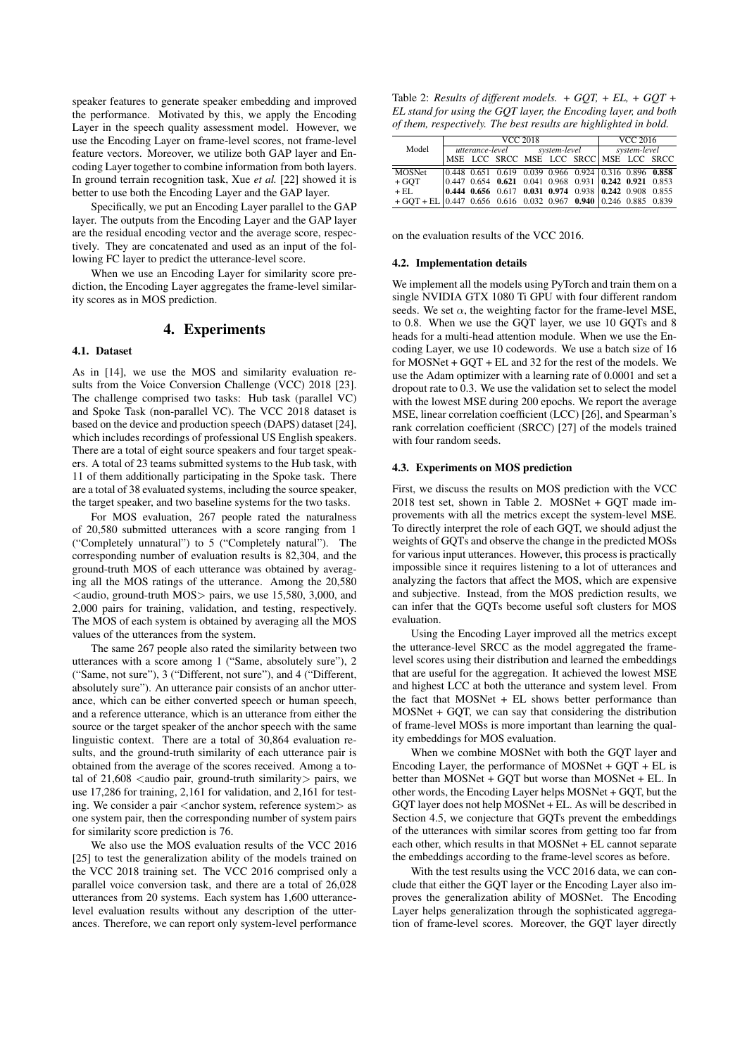speaker features to generate speaker embedding and improved the performance. Motivated by this, we apply the Encoding Layer in the speech quality assessment model. However, we use the Encoding Layer on frame-level scores, not frame-level feature vectors. Moreover, we utilize both GAP layer and Encoding Layer together to combine information from both layers. In ground terrain recognition task, Xue *et al.* [22] showed it is better to use both the Encoding Layer and the GAP layer.

Specifically, we put an Encoding Layer parallel to the GAP layer. The outputs from the Encoding Layer and the GAP layer are the residual encoding vector and the average score, respectively. They are concatenated and used as an input of the following FC layer to predict the utterance-level score.

When we use an Encoding Layer for similarity score prediction, the Encoding Layer aggregates the frame-level similarity scores as in MOS prediction.

### 4. Experiments

# 4.1. Dataset

As in [14], we use the MOS and similarity evaluation results from the Voice Conversion Challenge (VCC) 2018 [23]. The challenge comprised two tasks: Hub task (parallel VC) and Spoke Task (non-parallel VC). The VCC 2018 dataset is based on the device and production speech (DAPS) dataset [24], which includes recordings of professional US English speakers. There are a total of eight source speakers and four target speakers. A total of 23 teams submitted systems to the Hub task, with 11 of them additionally participating in the Spoke task. There are a total of 38 evaluated systems, including the source speaker, the target speaker, and two baseline systems for the two tasks.

For MOS evaluation, 267 people rated the naturalness of 20,580 submitted utterances with a score ranging from 1 ("Completely unnatural") to 5 ("Completely natural"). The corresponding number of evaluation results is 82,304, and the ground-truth MOS of each utterance was obtained by averaging all the MOS ratings of the utterance. Among the 20,580  $\alpha$  audio, ground-truth MOS  $>$  pairs, we use 15,580, 3,000, and 2,000 pairs for training, validation, and testing, respectively. The MOS of each system is obtained by averaging all the MOS values of the utterances from the system.

The same 267 people also rated the similarity between two utterances with a score among 1 ("Same, absolutely sure"), 2 ("Same, not sure"), 3 ("Different, not sure"), and 4 ("Different, absolutely sure"). An utterance pair consists of an anchor utterance, which can be either converted speech or human speech, and a reference utterance, which is an utterance from either the source or the target speaker of the anchor speech with the same linguistic context. There are a total of 30,864 evaluation results, and the ground-truth similarity of each utterance pair is obtained from the average of the scores received. Among a total of  $21,608$  <audio pair, ground-truth similarity pairs, we use 17,286 for training, 2,161 for validation, and 2,161 for testing. We consider a pair  $\langle$  anchor system, reference system $>$  as one system pair, then the corresponding number of system pairs for similarity score prediction is 76.

We also use the MOS evaluation results of the VCC 2016 [25] to test the generalization ability of the models trained on the VCC 2018 training set. The VCC 2016 comprised only a parallel voice conversion task, and there are a total of 26,028 utterances from 20 systems. Each system has 1,600 utterancelevel evaluation results without any description of the utterances. Therefore, we can report only system-level performance

Table 2: *Results of different models. + GQT, + EL, + GQT + EL stand for using the GQT layer, the Encoding layer, and both of them, respectively. The best results are highlighted in bold.*

|                                                                    | <b>VCC 2018</b> |  |                              |  | VCC 2016     |                                        |  |  |  |
|--------------------------------------------------------------------|-----------------|--|------------------------------|--|--------------|----------------------------------------|--|--|--|
| Model                                                              |                 |  | utterance-level system-level |  | system-level |                                        |  |  |  |
|                                                                    |                 |  |                              |  |              | MSE LCC SRCC MSE LCC SRCC MSE LCC SRCC |  |  |  |
| <b>MOSNet</b>                                                      |                 |  |                              |  |              |                                        |  |  |  |
|                                                                    |                 |  |                              |  |              |                                        |  |  |  |
| $+$ GOT                                                            |                 |  |                              |  |              |                                        |  |  |  |
| $+$ EL.                                                            |                 |  |                              |  |              |                                        |  |  |  |
| $+ GQT + EL$ 0.447 0.656 0.616 0.032 0.967 0.940 0.246 0.885 0.839 |                 |  |                              |  |              |                                        |  |  |  |

on the evaluation results of the VCC 2016.

#### 4.2. Implementation details

We implement all the models using PyTorch and train them on a single NVIDIA GTX 1080 Ti GPU with four different random seeds. We set  $\alpha$ , the weighting factor for the frame-level MSE, to 0.8. When we use the GQT layer, we use 10 GQTs and 8 heads for a multi-head attention module. When we use the Encoding Layer, we use 10 codewords. We use a batch size of 16 for MOSNet + GQT + EL and 32 for the rest of the models. We use the Adam optimizer with a learning rate of 0.0001 and set a dropout rate to 0.3. We use the validation set to select the model with the lowest MSE during 200 epochs. We report the average MSE, linear correlation coefficient (LCC) [26], and Spearman's rank correlation coefficient (SRCC) [27] of the models trained with four random seeds.

#### 4.3. Experiments on MOS prediction

First, we discuss the results on MOS prediction with the VCC 2018 test set, shown in Table 2. MOSNet + GQT made improvements with all the metrics except the system-level MSE. To directly interpret the role of each GQT, we should adjust the weights of GQTs and observe the change in the predicted MOSs for various input utterances. However, this process is practically impossible since it requires listening to a lot of utterances and analyzing the factors that affect the MOS, which are expensive and subjective. Instead, from the MOS prediction results, we can infer that the GQTs become useful soft clusters for MOS evaluation.

Using the Encoding Layer improved all the metrics except the utterance-level SRCC as the model aggregated the framelevel scores using their distribution and learned the embeddings that are useful for the aggregation. It achieved the lowest MSE and highest LCC at both the utterance and system level. From the fact that MOSNet + EL shows better performance than MOSNet + GQT, we can say that considering the distribution of frame-level MOSs is more important than learning the quality embeddings for MOS evaluation.

When we combine MOSNet with both the GOT layer and Encoding Layer, the performance of MOSNet + GQT + EL is better than MOSNet + GQT but worse than MOSNet + EL. In other words, the Encoding Layer helps MOSNet + GQT, but the GQT layer does not help MOSNet + EL. As will be described in Section 4.5, we conjecture that GQTs prevent the embeddings of the utterances with similar scores from getting too far from each other, which results in that MOSNet + EL cannot separate the embeddings according to the frame-level scores as before.

With the test results using the VCC 2016 data, we can conclude that either the GQT layer or the Encoding Layer also improves the generalization ability of MOSNet. The Encoding Layer helps generalization through the sophisticated aggregation of frame-level scores. Moreover, the GQT layer directly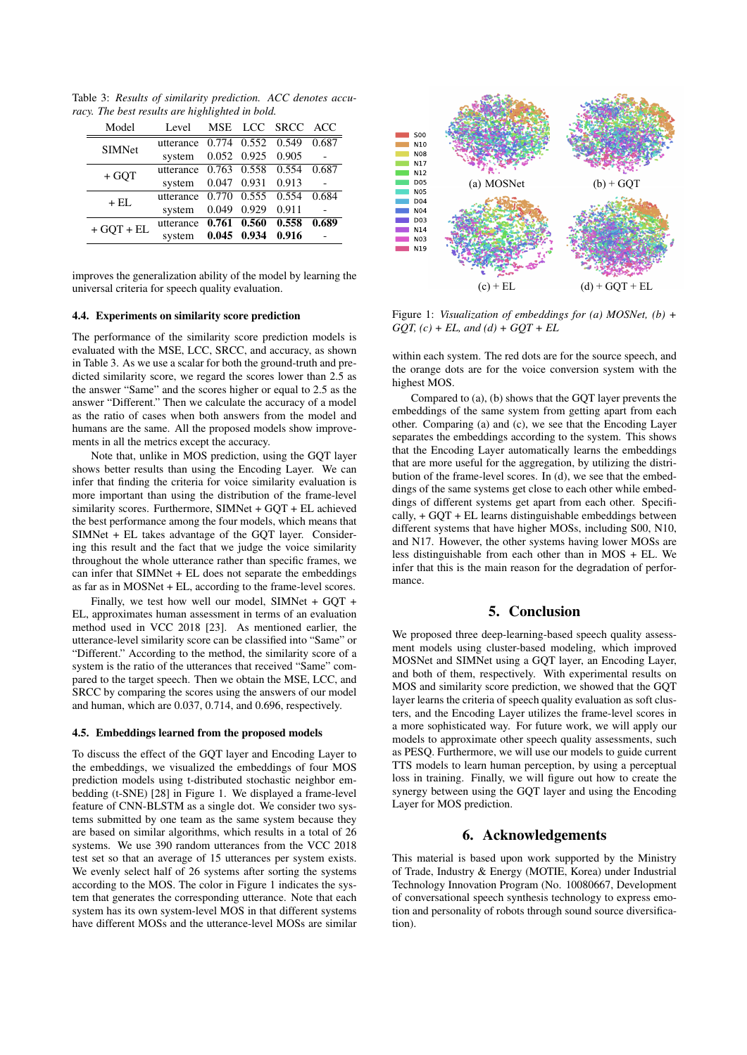Table 3: *Results of similarity prediction. ACC denotes accuracy. The best results are highlighted in bold.*

| Model         | Level  |             | MSE LCC SRCC ACC                                                                                                                                                                                                   |       |
|---------------|--------|-------------|--------------------------------------------------------------------------------------------------------------------------------------------------------------------------------------------------------------------|-------|
| <b>SIMNet</b> |        |             |                                                                                                                                                                                                                    |       |
|               | system |             |                                                                                                                                                                                                                    |       |
| $+ GOT$       |        |             |                                                                                                                                                                                                                    |       |
|               | system |             |                                                                                                                                                                                                                    |       |
| $+$ EL        |        |             |                                                                                                                                                                                                                    |       |
|               | system | 0.049 0.929 | utterance 0.774 0.552 0.549 0.687<br>0.052 0.925 0.905<br>utterance 0.763 0.558 0.554 0.687<br>0.047 0.931 0.913<br>utterance 0.770 0.555 0.554 0.684<br>0.911<br>utterance 0.761 0.560 0.558<br>0.045 0.934 0.916 |       |
| $+ GOT + EL$  |        |             |                                                                                                                                                                                                                    | 0.689 |
|               | system |             |                                                                                                                                                                                                                    |       |
|               |        |             |                                                                                                                                                                                                                    |       |

improves the generalization ability of the model by learning the universal criteria for speech quality evaluation.

#### 4.4. Experiments on similarity score prediction

The performance of the similarity score prediction models is evaluated with the MSE, LCC, SRCC, and accuracy, as shown in Table 3. As we use a scalar for both the ground-truth and predicted similarity score, we regard the scores lower than 2.5 as the answer "Same" and the scores higher or equal to 2.5 as the answer "Different." Then we calculate the accuracy of a model as the ratio of cases when both answers from the model and humans are the same. All the proposed models show improvements in all the metrics except the accuracy.

Note that, unlike in MOS prediction, using the GQT layer shows better results than using the Encoding Layer. We can infer that finding the criteria for voice similarity evaluation is more important than using the distribution of the frame-level similarity scores. Furthermore, SIMNet + GQT + EL achieved the best performance among the four models, which means that SIMNet + EL takes advantage of the GQT layer. Considering this result and the fact that we judge the voice similarity throughout the whole utterance rather than specific frames, we can infer that SIMNet + EL does not separate the embeddings as far as in MOSNet + EL, according to the frame-level scores.

Finally, we test how well our model, SIMNet + GQT + EL, approximates human assessment in terms of an evaluation method used in VCC 2018 [23]. As mentioned earlier, the utterance-level similarity score can be classified into "Same" or "Different." According to the method, the similarity score of a system is the ratio of the utterances that received "Same" compared to the target speech. Then we obtain the MSE, LCC, and SRCC by comparing the scores using the answers of our model and human, which are 0.037, 0.714, and 0.696, respectively.

#### 4.5. Embeddings learned from the proposed models

To discuss the effect of the GQT layer and Encoding Layer to the embeddings, we visualized the embeddings of four MOS prediction models using t-distributed stochastic neighbor embedding (t-SNE) [28] in Figure 1. We displayed a frame-level feature of CNN-BLSTM as a single dot. We consider two systems submitted by one team as the same system because they are based on similar algorithms, which results in a total of 26 systems. We use 390 random utterances from the VCC 2018 test set so that an average of 15 utterances per system exists. We evenly select half of 26 systems after sorting the systems according to the MOS. The color in Figure 1 indicates the system that generates the corresponding utterance. Note that each system has its own system-level MOS in that different systems have different MOSs and the utterance-level MOSs are similar



Figure 1: *Visualization of embeddings for (a) MOSNet, (b) + GQT, (c) + EL, and (d) + GQT + EL*

within each system. The red dots are for the source speech, and the orange dots are for the voice conversion system with the highest MOS.

Compared to (a), (b) shows that the GQT layer prevents the embeddings of the same system from getting apart from each other. Comparing (a) and (c), we see that the Encoding Layer separates the embeddings according to the system. This shows that the Encoding Layer automatically learns the embeddings that are more useful for the aggregation, by utilizing the distribution of the frame-level scores. In (d), we see that the embeddings of the same systems get close to each other while embeddings of different systems get apart from each other. Specifically, + GQT + EL learns distinguishable embeddings between different systems that have higher MOSs, including S00, N10, and N17. However, the other systems having lower MOSs are less distinguishable from each other than in MOS + EL. We infer that this is the main reason for the degradation of performance.

# 5. Conclusion

We proposed three deep-learning-based speech quality assessment models using cluster-based modeling, which improved MOSNet and SIMNet using a GQT layer, an Encoding Layer, and both of them, respectively. With experimental results on MOS and similarity score prediction, we showed that the GQT layer learns the criteria of speech quality evaluation as soft clusters, and the Encoding Layer utilizes the frame-level scores in a more sophisticated way. For future work, we will apply our models to approximate other speech quality assessments, such as PESQ. Furthermore, we will use our models to guide current TTS models to learn human perception, by using a perceptual loss in training. Finally, we will figure out how to create the synergy between using the GQT layer and using the Encoding Layer for MOS prediction.

# 6. Acknowledgements

This material is based upon work supported by the Ministry of Trade, Industry & Energy (MOTIE, Korea) under Industrial Technology Innovation Program (No. 10080667, Development of conversational speech synthesis technology to express emotion and personality of robots through sound source diversification).